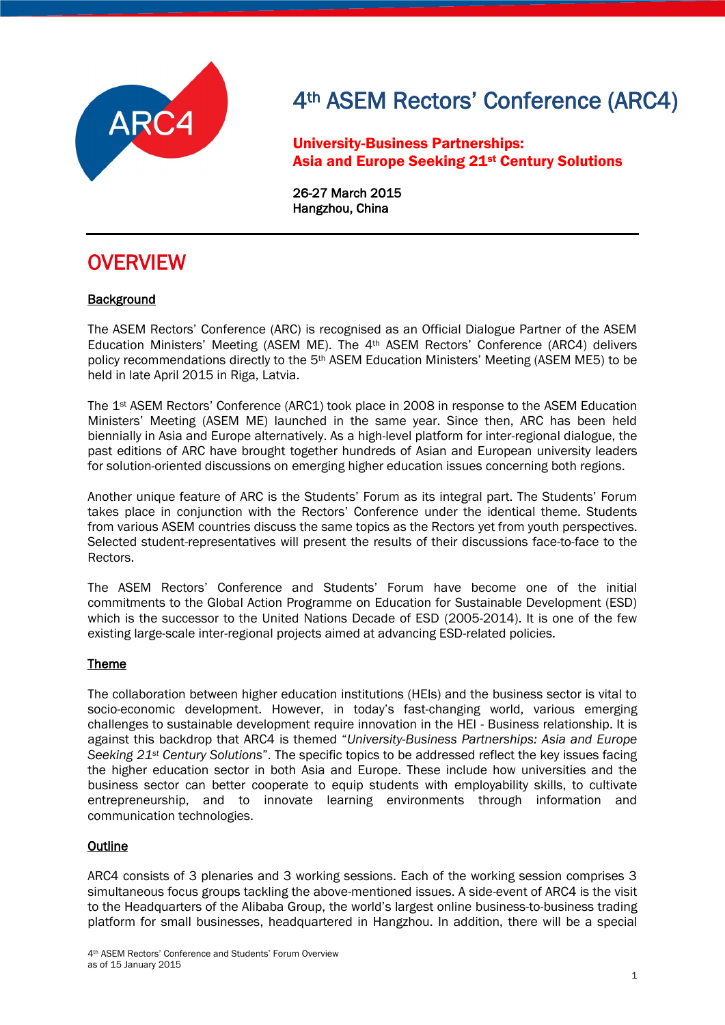

University-Business Partnerships: Asia and Europe Seeking 21st Century Solutions

26-27 March 2015 Hangzhou, China

### **OVERVIEW**

### **Background**

The ASEM Rectors' Conference (ARC) is recognised as an Official Dialogue Partner of the ASEM Education Ministers' Meeting (ASEM ME). The 4th ASEM Rectors' Conference (ARC4) delivers policy recommendations directly to the 5th ASEM Education Ministers' Meeting (ASEM ME5) to be held in late April 2015 in Riga, Latvia.

The 1st ASEM Rectors' Conference (ARC1) took place in 2008 in response to the ASEM Education Ministers' Meeting (ASEM ME) launched in the same year. Since then, ARC has been held biennially in Asia and Europe alternatively. As a high-level platform for inter-regional dialogue, the past editions of ARC have brought together hundreds of Asian and European university leaders for solution-oriented discussions on emerging higher education issues concerning both regions.

Another unique feature of ARC is the Students' Forum as its integral part. The Students' Forum takes place in conjunction with the Rectors' Conference under the identical theme. Students from various ASEM countries discuss the same topics as the Rectors yet from youth perspectives. Selected student-representatives will present the results of their discussions face-to-face to the Rectors.

The ASEM Rectors' Conference and Students' Forum have become one of the initial commitments to the Global Action Programme on Education for Sustainable Development (ESD) which is the successor to the United Nations Decade of ESD (2005-2014). It is one of the few existing large-scale inter-regional projects aimed at advancing ESD-related policies.

### Theme

The collaboration between higher education institutions (HEIs) and the business sector is vital to socio-economic development. However, in today's fast-changing world, various emerging challenges to sustainable development require innovation in the HEI - Business relationship. It is against this backdrop that ARC4 is themed "*University-Business Partnerships: Asia and Europe Seeking 21st Century Solutions*". The specific topics to be addressed reflect the key issues facing the higher education sector in both Asia and Europe. These include how universities and the business sector can better cooperate to equip students with employability skills, to cultivate entrepreneurship, and to innovate learning environments through information and communication technologies.

### **Outline**

ARC4 consists of 3 plenaries and 3 working sessions. Each of the working session comprises 3 simultaneous focus groups tackling the above-mentioned issues. A side-event of ARC4 is the visit to the Headquarters of the Alibaba Group, the world's largest online business-to-business trading platform for small businesses, headquartered in Hangzhou. In addition, there will be a special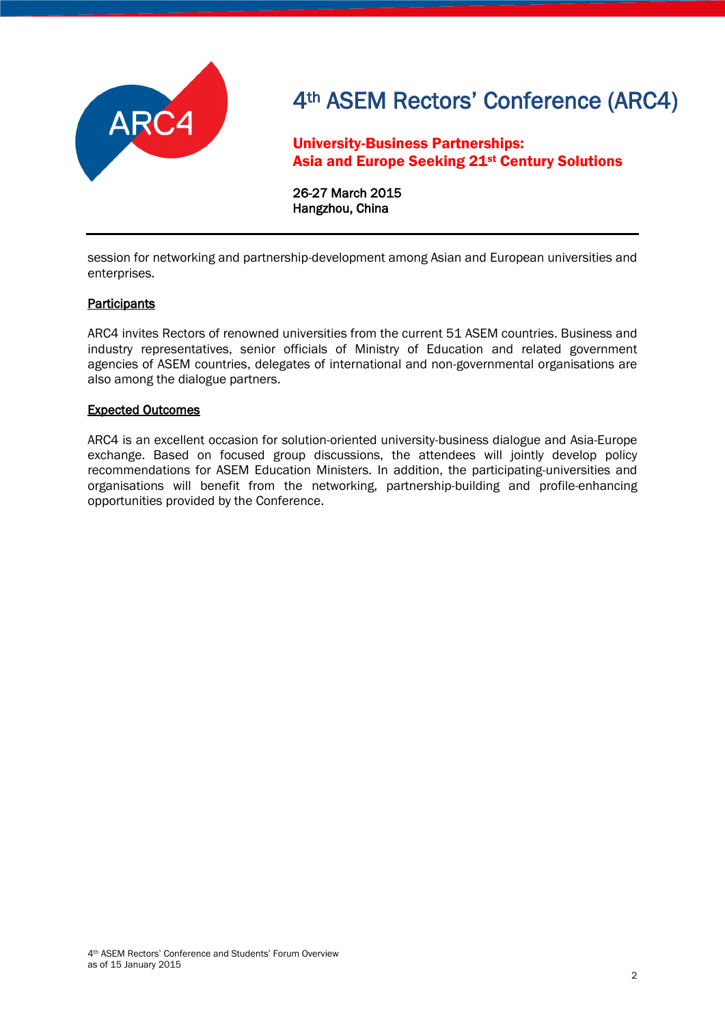

University-Business Partnerships: Asia and Europe Seeking 21st Century Solutions

26-27 March 2015 Hangzhou, China

session for networking and partnership-development among Asian and European universities and enterprises.

### **Participants**

ARC4 invites Rectors of renowned universities from the current 51 ASEM countries. Business and industry representatives, senior officials of Ministry of Education and related government agencies of ASEM countries, delegates of international and non-governmental organisations are also among the dialogue partners.

#### Expected Outcomes

ARC4 is an excellent occasion for solution-oriented university-business dialogue and Asia-Europe exchange. Based on focused group discussions, the attendees will jointly develop policy recommendations for ASEM Education Ministers. In addition, the participating-universities and organisations will benefit from the networking, partnership-building and profile-enhancing opportunities provided by the Conference.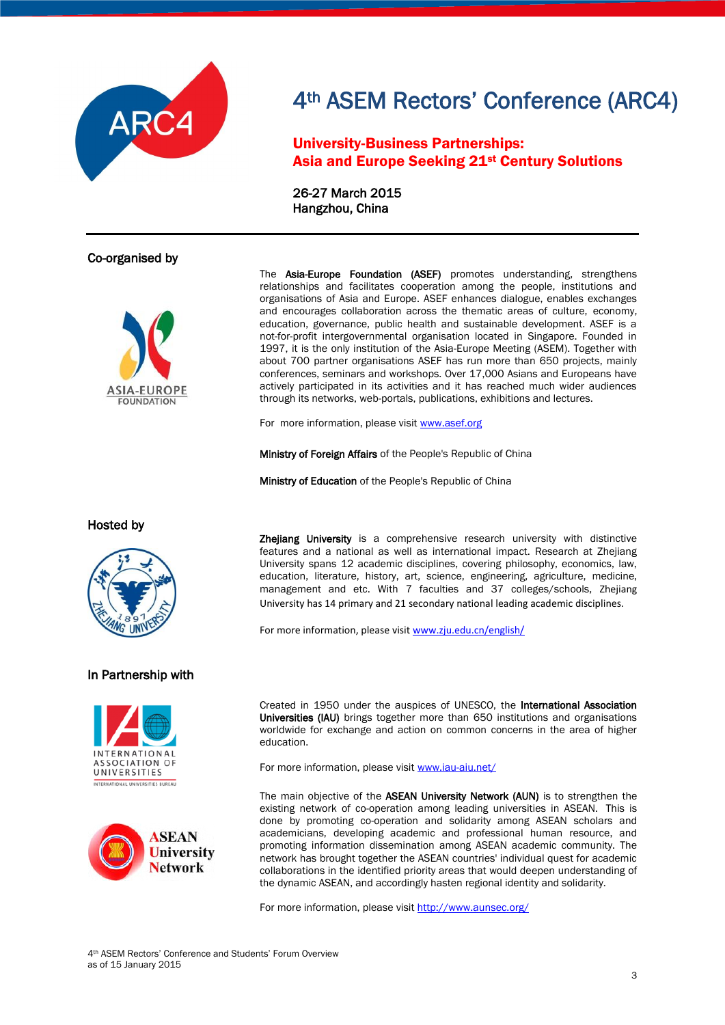

### University-Business Partnerships: Asia and Europe Seeking 21st Century Solutions

26-27 March 2015 Hangzhou, China

### Co-organised by



The Asia-Europe Foundation (ASEF) promotes understanding, strengthens relationships and facilitates cooperation among the people, institutions and organisations of Asia and Europe. ASEF enhances dialogue, enables exchanges and encourages collaboration across the thematic areas of culture, economy, education, governance, public health and sustainable development. ASEF is a not-for-profit intergovernmental organisation located in Singapore. Founded in 1997, it is the only institution of the Asia-Europe Meeting (ASEM). Together with about 700 partner organisations ASEF has run more than 650 projects, mainly conferences, seminars and workshops. Over 17,000 Asians and Europeans have actively participated in its activities and it has reached much wider audiences through its networks, web-portals, publications, exhibitions and lectures.

For more information, please visit [www.asef.org](http://www.asef.org/)

Ministry of Foreign Affairs of the People's Republic of China

Ministry of Education of the People's Republic of China

Hosted by



#### In Partnership with





Zhejiang University is a comprehensive research university with distinctive features and a national as well as international impact. Research at Zhejiang University spans 12 academic disciplines, covering philosophy, economics, law, education, literature, history, art, science, engineering, agriculture, medicine, management and etc. With 7 faculties and 37 colleges/schools, Zhejiang University has 14 primary and 21 secondary national leading academic disciplines.

For more information, please visit [www.zju.edu.cn/english/](http://www.zju.edu.cn/english/)

Created in 1950 under the auspices of UNESCO, the International Association Universities (IAU) brings together more than 650 institutions and organisations worldwide for exchange and action on common concerns in the area of higher education.

For more information, please visit [www.iau-aiu.net/](http://www.iau-aiu.net/)

The main objective of the ASEAN University Network (AUN) is to strengthen the existing network of co-operation among leading universities in ASEAN. This is done by promoting co-operation and solidarity among ASEAN scholars and academicians, developing academic and professional human resource, and promoting information dissemination among ASEAN academic community. The network has brought together the ASEAN countries' individual quest for academic collaborations in the identified priority areas that would deepen understanding of the dynamic ASEAN, and accordingly hasten regional identity and solidarity.

For more information, please visi[t http://www.aunsec.org/](http://www.aunsec.org/)